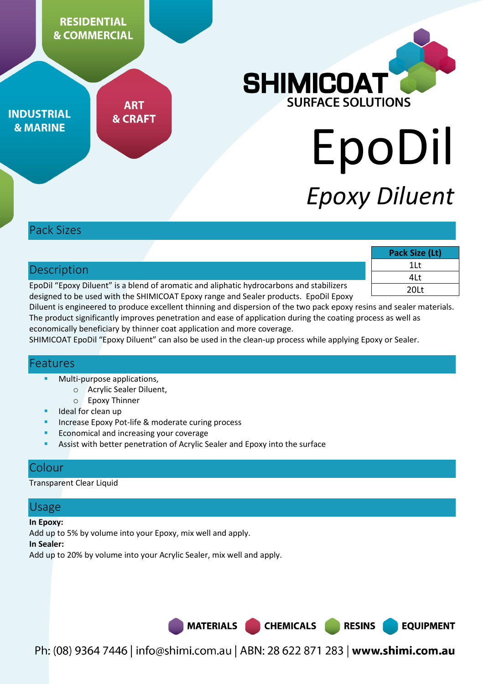

### Pack Sizes

|                                                                                          |             | Pack Size (Lt) |
|------------------------------------------------------------------------------------------|-------------|----------------|
|                                                                                          | Description | 1Lt            |
|                                                                                          |             | 4Lt            |
| EpoDil "Epoxy Diluent" is a blend of aromatic and aliphatic hydrocarbons and stabilizers |             | 20Lt           |
| designed to be used with the SHIMICOAT Epoxy range and Sealer products. EpoDil Epoxy     |             |                |

Diluent is engineered to produce excellent thinning and dispersion of the two pack epoxy resins and sealer materials. The product significantly improves penetration and ease of application during the coating process as well as economically beneficiary by thinner coat application and more coverage.

SHIMICOAT EpoDil "Epoxy Diluent" can also be used in the clean-up process while applying Epoxy or Sealer.

### Features

- Multi-purpose applications,
	- o Acrylic Sealer Diluent,
	- o Epoxy Thinner
- Ideal for clean up
- Increase Epoxy Pot-life & moderate curing process
- Economical and increasing your coverage
- Assist with better penetration of Acrylic Sealer and Epoxy into the surface

### Colour

Transparent Clear Liquid

# Usage

#### **In Epoxy:**

Add up to 5% by volume into your Epoxy, mix well and apply.

#### **In Sealer:**

Add up to 20% by volume into your Acrylic Sealer, mix well and apply.

**MATERIALS** 

Ph: (08) 9364 7446 | info@shimi.com.au | ABN: 28 622 871 283 | www.shimi.com.au

**CHEMICALS** 

**RESINS** 

**EQUIPMENT**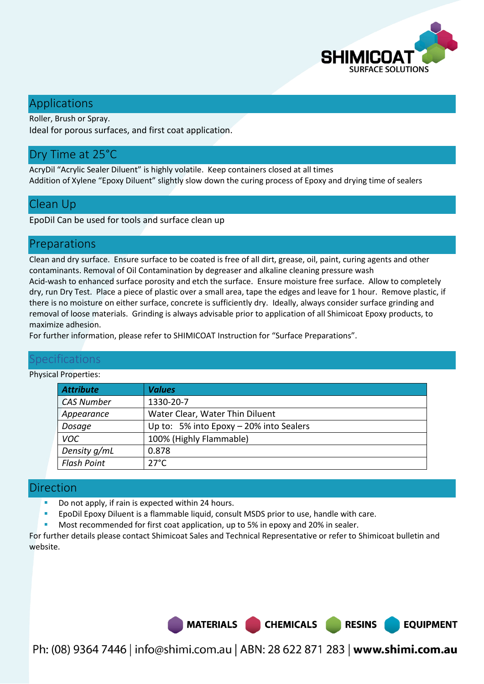

**EQUIPMENT** 

## Applications

Roller, Brush or Spray. Ideal for porous surfaces, and first coat application.

# Dry Time at 25°C

AcryDil "Acrylic Sealer Diluent" is highly volatile. Keep containers closed at all times Addition of Xylene "Epoxy Diluent" slightly slow down the curing process of Epoxy and drying time of sealers

## Clean Up

EpoDil Can be used for tools and surface clean up

### Preparations

Clean and dry surface. Ensure surface to be coated is free of all dirt, grease, oil, paint, curing agents and other contaminants. Removal of Oil Contamination by degreaser and alkaline cleaning pressure wash Acid-wash to enhanced surface porosity and etch the surface. Ensure moisture free surface. Allow to completely dry, run Dry Test. Place a piece of plastic over a small area, tape the edges and leave for 1 hour. Remove plastic, if there is no moisture on either surface, concrete is sufficiently dry. Ideally, always consider surface grinding and removal of loose materials. Grinding is always advisable prior to application of all Shimicoat Epoxy products, to maximize adhesion.

For further information, please refer to SHIMICOAT Instruction for "Surface Preparations".

### Specifications

#### Physical Properties:

| <b>Attribute</b>   | <b>Values</b>                             |
|--------------------|-------------------------------------------|
| <b>CAS Number</b>  | 1330-20-7                                 |
| Appearance         | Water Clear, Water Thin Diluent           |
| Dosage             | Up to: 5% into Epoxy $-$ 20% into Sealers |
| <b>VOC</b>         | 100% (Highly Flammable)                   |
| Density g/mL       | 0.878                                     |
| <b>Flash Point</b> | $27^{\circ}$ C                            |

#### Direction

- Do not apply, if rain is expected within 24 hours.
- EpoDil Epoxy Diluent is a flammable liquid, consult MSDS prior to use, handle with care.
- Most recommended for first coat application, up to 5% in epoxy and 20% in sealer.

For further details please contact Shimicoat Sales and Technical Representative or refer to Shimicoat bulletin and website.

MATERIALS CHEMICALS RESINS

Ph: (08) 9364 7446 | info@shimi.com.au | ABN: 28 622 871 283 | www.shimi.com.au